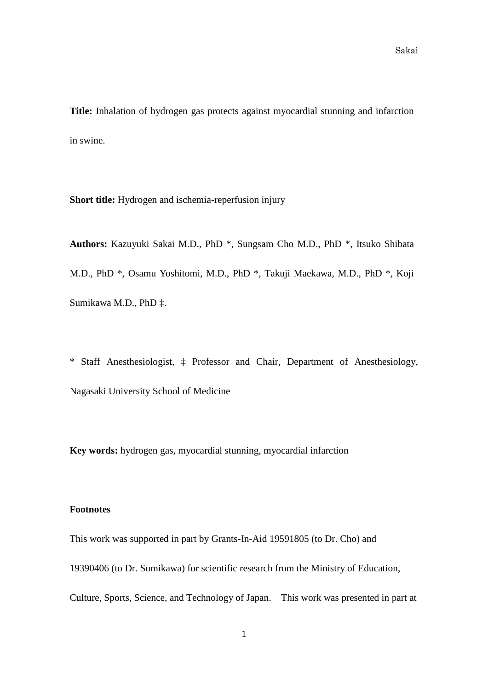**Title:** Inhalation of hydrogen gas protects against myocardial stunning and infarction in swine.

**Short title:** Hydrogen and ischemia-reperfusion injury

**Authors:** Kazuyuki Sakai M.D., PhD \*, Sungsam Cho M.D., PhD \*, Itsuko Shibata M.D., PhD \*, Osamu Yoshitomi, M.D., PhD \*, Takuji Maekawa, M.D., PhD \*, Koji Sumikawa M.D., PhD ‡.

\* Staff Anesthesiologist, ‡ Professor and Chair, Department of Anesthesiology, Nagasaki University School of Medicine

**Key words:** hydrogen gas, myocardial stunning, myocardial infarction

#### **Footnotes**

This work was supported in part by Grants-In-Aid 19591805 (to Dr. Cho) and 19390406 (to Dr. Sumikawa) for scientific research from the Ministry of Education, Culture, Sports, Science, and Technology of Japan. This work was presented in part at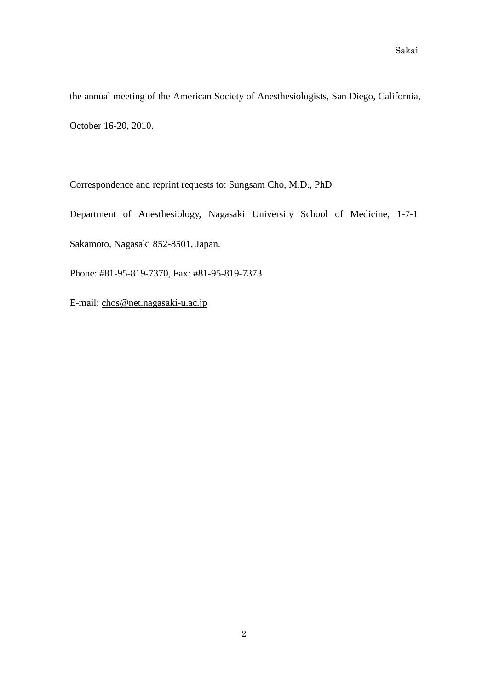the annual meeting of the American Society of Anesthesiologists, San Diego, California, October 16-20, 2010.

Correspondence and reprint requests to: Sungsam Cho, M.D., PhD

Department of Anesthesiology, Nagasaki University School of Medicine, 1-7-1 Sakamoto, Nagasaki 852-8501, Japan.

Phone: #81-95-819-7370, Fax: #81-95-819-7373

E-mail: [chos@net.nagasaki-u.ac.jp](mailto:chos@net.nagasaki-u.ac.jp)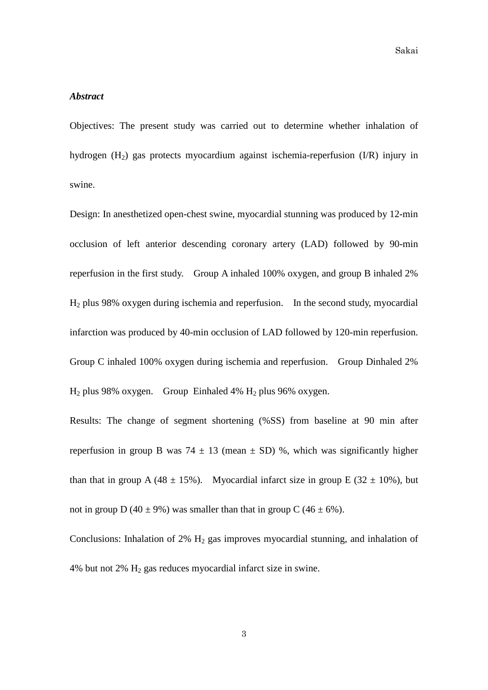#### *Abstract*

Objectives: The present study was carried out to determine whether inhalation of hydrogen (H2) gas protects myocardium against ischemia-reperfusion (I/R) injury in swine.

Design: In anesthetized open-chest swine, myocardial stunning was produced by 12-min occlusion of left anterior descending coronary artery (LAD) followed by 90-min reperfusion in the first study. Group A inhaled 100% oxygen, and group B inhaled 2% H2 plus 98% oxygen during ischemia and reperfusion. In the second study, myocardial infarction was produced by 40-min occlusion of LAD followed by 120-min reperfusion. Group C inhaled 100% oxygen during ischemia and reperfusion. Group Dinhaled 2%  $H_2$  plus 98% oxygen. Group Einhaled 4%  $H_2$  plus 96% oxygen.

Results: The change of segment shortening (%SS) from baseline at 90 min after reperfusion in group B was 74  $\pm$  13 (mean  $\pm$  SD) %, which was significantly higher than that in group A (48  $\pm$  15%). Myocardial infarct size in group E (32  $\pm$  10%), but not in group D (40  $\pm$  9%) was smaller than that in group C (46  $\pm$  6%).

Conclusions: Inhalation of  $2\%$  H<sub>2</sub> gas improves myocardial stunning, and inhalation of 4% but not 2%  $H_2$  gas reduces myocardial infarct size in swine.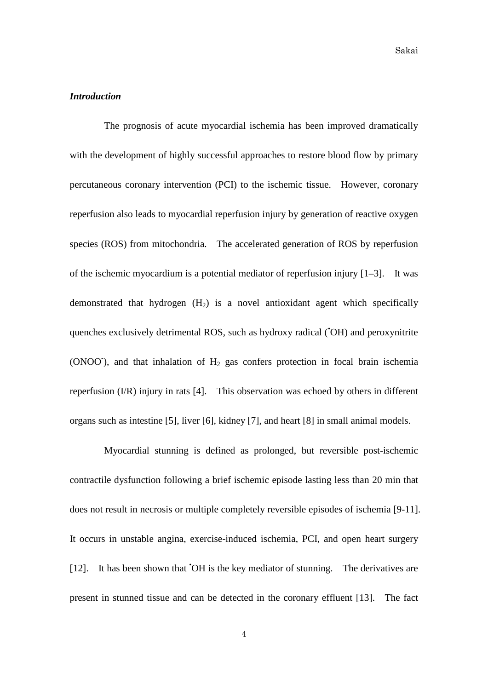# *Introduction*

The prognosis of acute myocardial ischemia has been improved dramatically with the development of highly successful approaches to restore blood flow by primary percutaneous coronary intervention (PCI) to the ischemic tissue. However, coronary reperfusion also leads to myocardial reperfusion injury by generation of reactive oxygen species (ROS) from mitochondria. The accelerated generation of ROS by reperfusion of the ischemic myocardium is a potential mediator of reperfusion injury [1–3]. It was demonstrated that hydrogen  $(H<sub>2</sub>)$  is a novel antioxidant agent which specifically quenches exclusively detrimental ROS, such as hydroxy radical ('OH) and peroxynitrite (ONOO<sup>-</sup>), and that inhalation of  $H_2$  gas confers protection in focal brain ischemia reperfusion (I/R) injury in rats [4]. This observation was echoed by others in different organs such as intestine [5], liver [6], kidney [7], and heart [8] in small animal models.

Myocardial stunning is defined as prolonged, but reversible post-ischemic contractile dysfunction following a brief ischemic episode lasting less than 20 min that does not result in necrosis or multiple completely reversible episodes of ischemia [9-11]. It occurs in unstable angina, exercise-induced ischemia, PCI, and open heart surgery [12]. It has been shown that 'OH is the key mediator of stunning. The derivatives are present in stunned tissue and can be detected in the coronary effluent [13]. The fact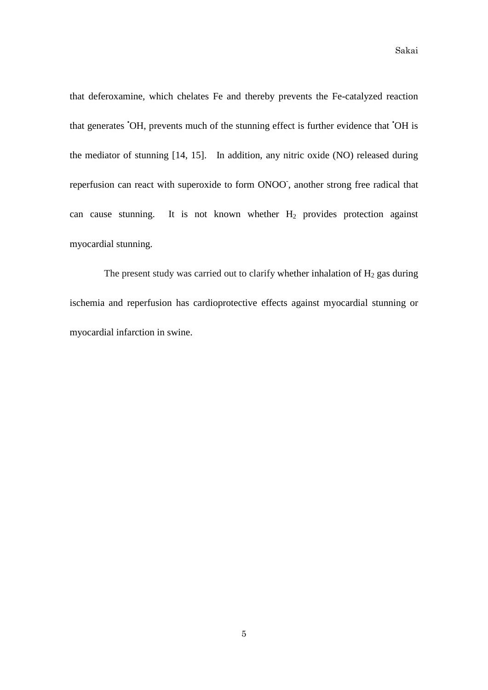Sakai

that deferoxamine, which chelates Fe and thereby prevents the Fe-catalyzed reaction that generates 'OH, prevents much of the stunning effect is further evidence that 'OH is the mediator of stunning [14, 15]. In addition, any nitric oxide (NO) released during reperfusion can react with superoxide to form ONOO, another strong free radical that can cause stunning. It is not known whether  $H_2$  provides protection against myocardial stunning.

The present study was carried out to clarify whether inhalation of  $H_2$  gas during ischemia and reperfusion has cardioprotective effects against myocardial stunning or myocardial infarction in swine.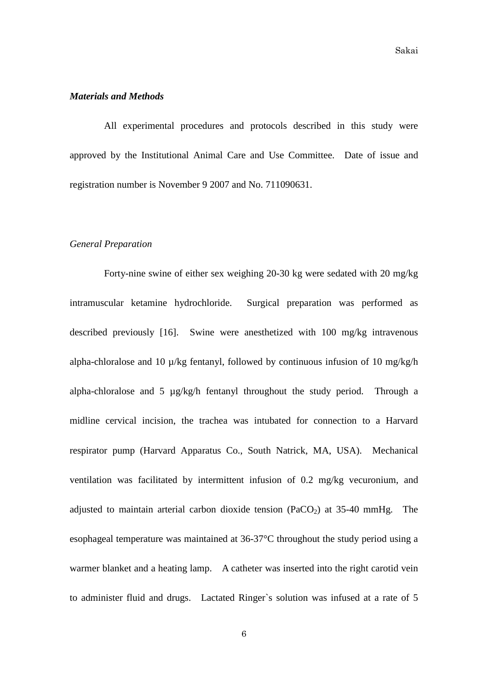#### *Materials and Methods*

All experimental procedures and protocols described in this study were approved by the Institutional Animal Care and Use Committee. Date of issue and registration number is November 9 2007 and No. 711090631.

#### *General Preparation*

Forty-nine swine of either sex weighing 20-30 kg were sedated with 20 mg/kg intramuscular ketamine hydrochloride. Surgical preparation was performed as described previously [16]. Swine were anesthetized with 100 mg/kg intravenous alpha-chloralose and 10 µ/kg fentanyl, followed by continuous infusion of 10 mg/kg/h alpha-chloralose and 5 µg/kg/h fentanyl throughout the study period. Through a midline cervical incision, the trachea was intubated for connection to a Harvard respirator pump (Harvard Apparatus Co., South Natrick, MA, USA). Mechanical ventilation was facilitated by intermittent infusion of 0.2 mg/kg vecuronium, and adjusted to maintain arterial carbon dioxide tension (PaCO<sub>2</sub>) at 35-40 mmHg. The esophageal temperature was maintained at 36-37°C throughout the study period using a warmer blanket and a heating lamp. A catheter was inserted into the right carotid vein to administer fluid and drugs. Lactated Ringer`s solution was infused at a rate of 5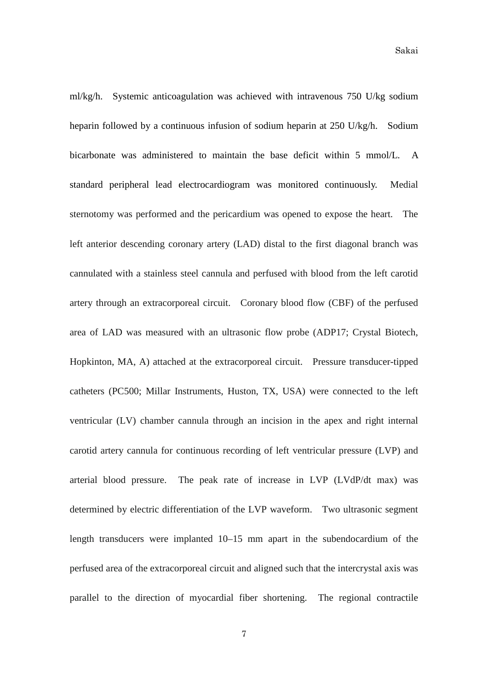ml/kg/h. Systemic anticoagulation was achieved with intravenous 750 U/kg sodium heparin followed by a continuous infusion of sodium heparin at 250 U/kg/h. Sodium bicarbonate was administered to maintain the base deficit within 5 mmol/L. A standard peripheral lead electrocardiogram was monitored continuously. Medial sternotomy was performed and the pericardium was opened to expose the heart. The left anterior descending coronary artery (LAD) distal to the first diagonal branch was cannulated with a stainless steel cannula and perfused with blood from the left carotid artery through an extracorporeal circuit. Coronary blood flow (CBF) of the perfused area of LAD was measured with an ultrasonic flow probe (ADP17; Crystal Biotech, Hopkinton, MA, A) attached at the extracorporeal circuit. Pressure transducer-tipped catheters (PC500; Millar Instruments, Huston, TX, USA) were connected to the left ventricular (LV) chamber cannula through an incision in the apex and right internal carotid artery cannula for continuous recording of left ventricular pressure (LVP) and arterial blood pressure. The peak rate of increase in LVP (LVdP/dt max) was determined by electric differentiation of the LVP waveform. Two ultrasonic segment length transducers were implanted 10–15 mm apart in the subendocardium of the perfused area of the extracorporeal circuit and aligned such that the intercrystal axis was parallel to the direction of myocardial fiber shortening. The regional contractile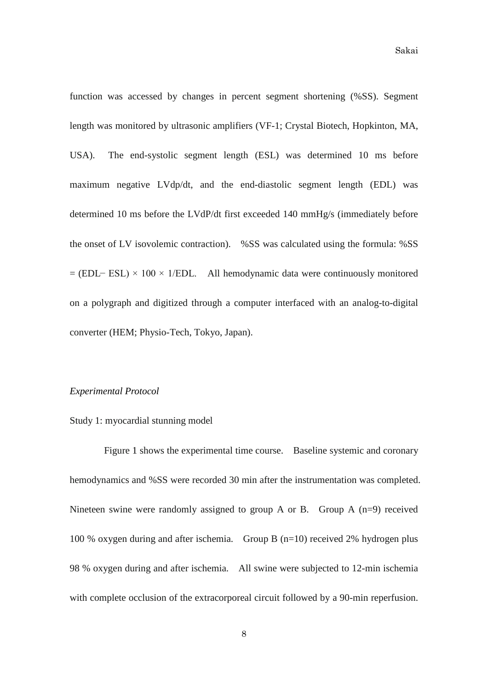function was accessed by changes in percent segment shortening (%SS). Segment length was monitored by ultrasonic amplifiers (VF-1; Crystal Biotech, Hopkinton, MA, USA). The end-systolic segment length (ESL) was determined 10 ms before maximum negative LVdp/dt, and the end-diastolic segment length (EDL) was determined 10 ms before the LVdP/dt first exceeded 140 mmHg/s (immediately before the onset of LV isovolemic contraction). %SS was calculated using the formula: %SS  $=$  (EDL− ESL)  $\times$  100  $\times$  1/EDL. All hemodynamic data were continuously monitored on a polygraph and digitized through a computer interfaced with an analog-to-digital converter (HEM; Physio-Tech, Tokyo, Japan).

#### *Experimental Protocol*

#### Study 1: myocardial stunning model

Figure 1 shows the experimental time course. Baseline systemic and coronary hemodynamics and %SS were recorded 30 min after the instrumentation was completed. Nineteen swine were randomly assigned to group A or B. Group A  $(n=9)$  received 100 % oxygen during and after ischemia. Group B (n=10) received 2% hydrogen plus 98 % oxygen during and after ischemia. All swine were subjected to 12-min ischemia with complete occlusion of the extracorporeal circuit followed by a 90-min reperfusion.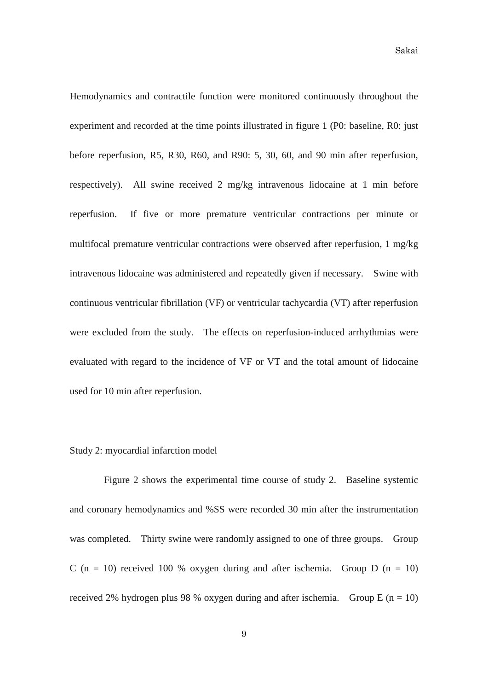Hemodynamics and contractile function were monitored continuously throughout the experiment and recorded at the time points illustrated in figure 1 (P0: baseline, R0: just before reperfusion, R5, R30, R60, and R90: 5, 30, 60, and 90 min after reperfusion, respectively). All swine received 2 mg/kg intravenous lidocaine at 1 min before reperfusion. If five or more premature ventricular contractions per minute or multifocal premature ventricular contractions were observed after reperfusion, 1 mg/kg intravenous lidocaine was administered and repeatedly given if necessary. Swine with continuous ventricular fibrillation (VF) or ventricular tachycardia (VT) after reperfusion were excluded from the study. The effects on reperfusion-induced arrhythmias were evaluated with regard to the incidence of VF or VT and the total amount of lidocaine used for 10 min after reperfusion.

#### Study 2: myocardial infarction model

Figure 2 shows the experimental time course of study 2. Baseline systemic and coronary hemodynamics and %SS were recorded 30 min after the instrumentation was completed. Thirty swine were randomly assigned to one of three groups. Group C (n = 10) received 100 % oxygen during and after ischemia. Group D (n = 10) received 2% hydrogen plus 98 % oxygen during and after ischemia. Group E ( $n = 10$ )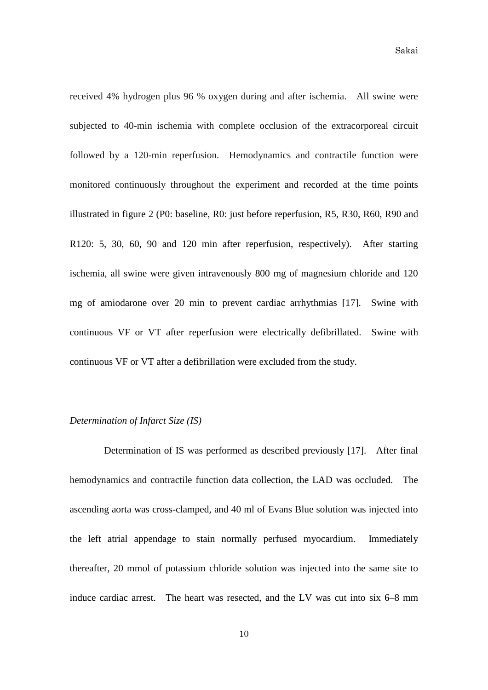received 4% hydrogen plus 96 % oxygen during and after ischemia. All swine were subjected to 40-min ischemia with complete occlusion of the extracorporeal circuit followed by a 120-min reperfusion. Hemodynamics and contractile function were monitored continuously throughout the experiment and recorded at the time points illustrated in figure 2 (P0: baseline, R0: just before reperfusion, R5, R30, R60, R90 and R120: 5, 30, 60, 90 and 120 min after reperfusion, respectively). After starting ischemia, all swine were given intravenously 800 mg of magnesium chloride and 120 mg of amiodarone over 20 min to prevent cardiac arrhythmias [17]. Swine with continuous VF or VT after reperfusion were electrically defibrillated. Swine with continuous VF or VT after a defibrillation were excluded from the study.

#### *Determination of Infarct Size (IS)*

Determination of IS was performed as described previously [17]. After final hemodynamics and contractile function data collection, the LAD was occluded. The ascending aorta was cross-clamped, and 40 ml of Evans Blue solution was injected into the left atrial appendage to stain normally perfused myocardium. Immediately thereafter, 20 mmol of potassium chloride solution was injected into the same site to induce cardiac arrest. The heart was resected, and the LV was cut into six 6–8 mm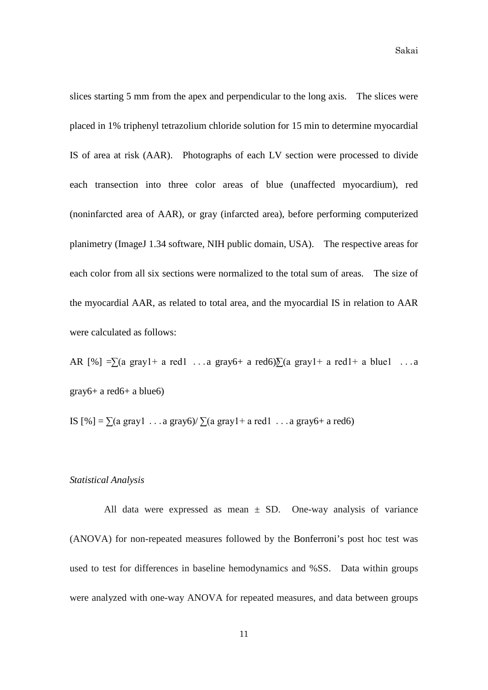slices starting 5 mm from the apex and perpendicular to the long axis. The slices were placed in 1% triphenyl tetrazolium chloride solution for 15 min to determine myocardial IS of area at risk (AAR). Photographs of each LV section were processed to divide each transection into three color areas of blue (unaffected myocardium), red (noninfarcted area of AAR), or gray (infarcted area), before performing computerized planimetry (ImageJ 1.34 software, NIH public domain, USA). The respective areas for each color from all six sections were normalized to the total sum of areas. The size of the myocardial AAR, as related to total area, and the myocardial IS in relation to AAR were calculated as follows:

AR  $[\%] = \sum (a \text{ gray1} + a \text{ red1} \dots a \text{ gray6} + a \text{ red6}) \sum (a \text{ gray1} + a \text{ red1} + a \text{ blue1} \dots a \text{ red1})$  $gray6+ a red6+ a blue6$ 

IS  $[\%] = \sum (a \text{ gray1} \dots a \text{ gray6}) / \sum (a \text{ gray1} + a \text{ red1} \dots a \text{ gray6} + a \text{ red6})$ 

# *Statistical Analysis*

All data were expressed as mean  $\pm$  SD. One-way analysis of variance (ANOVA) for non-repeated measures followed by the Bonferroni's post hoc test was used to test for differences in baseline hemodynamics and %SS. Data within groups were analyzed with one-way ANOVA for repeated measures, and data between groups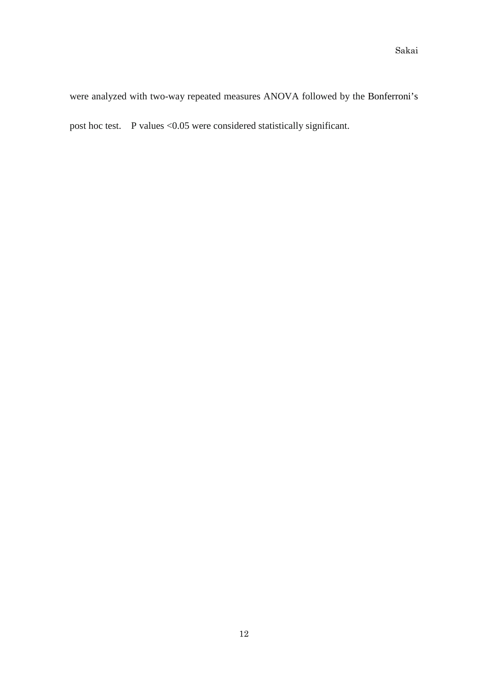were analyzed with two-way repeated measures ANOVA followed by the Bonferroni's post hoc test. P values <0.05 were considered statistically significant.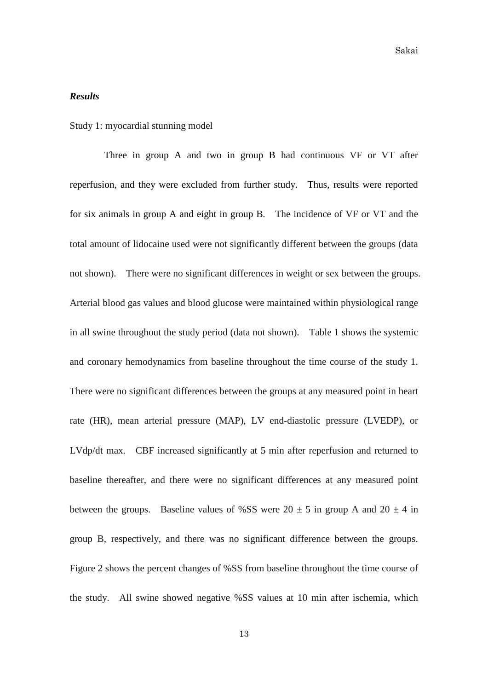# *Results*

Study 1: myocardial stunning model

Three in group A and two in group B had continuous VF or VT after reperfusion, and they were excluded from further study. Thus, results were reported for six animals in group A and eight in group B. The incidence of VF or VT and the total amount of lidocaine used were not significantly different between the groups (data not shown). There were no significant differences in weight or sex between the groups. Arterial blood gas values and blood glucose were maintained within physiological range in all swine throughout the study period (data not shown). Table 1 shows the systemic and coronary hemodynamics from baseline throughout the time course of the study 1. There were no significant differences between the groups at any measured point in heart rate (HR), mean arterial pressure (MAP), LV end-diastolic pressure (LVEDP), or LVdp/dt max. CBF increased significantly at 5 min after reperfusion and returned to baseline thereafter, and there were no significant differences at any measured point between the groups. Baseline values of %SS were  $20 \pm 5$  in group A and  $20 \pm 4$  in group B, respectively, and there was no significant difference between the groups. Figure 2 shows the percent changes of %SS from baseline throughout the time course of the study. All swine showed negative %SS values at 10 min after ischemia, which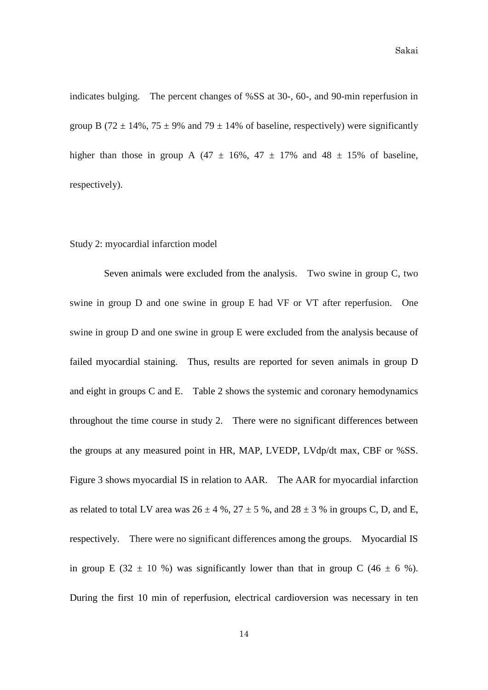Sakai

indicates bulging. The percent changes of %SS at 30-, 60-, and 90-min reperfusion in group B (72  $\pm$  14%, 75  $\pm$  9% and 79  $\pm$  14% of baseline, respectively) were significantly higher than those in group A (47  $\pm$  16%, 47  $\pm$  17% and 48  $\pm$  15% of baseline, respectively).

#### Study 2: myocardial infarction model

Seven animals were excluded from the analysis. Two swine in group C, two swine in group D and one swine in group E had VF or VT after reperfusion. One swine in group D and one swine in group E were excluded from the analysis because of failed myocardial staining. Thus, results are reported for seven animals in group D and eight in groups C and E. Table 2 shows the systemic and coronary hemodynamics throughout the time course in study 2. There were no significant differences between the groups at any measured point in HR, MAP, LVEDP, LVdp/dt max, CBF or %SS. Figure 3 shows myocardial IS in relation to AAR. The AAR for myocardial infarction as related to total LV area was  $26 \pm 4$  %,  $27 \pm 5$  %, and  $28 \pm 3$  % in groups C, D, and E, respectively. There were no significant differences among the groups. Myocardial IS in group E (32  $\pm$  10 %) was significantly lower than that in group C (46  $\pm$  6 %). During the first 10 min of reperfusion, electrical cardioversion was necessary in ten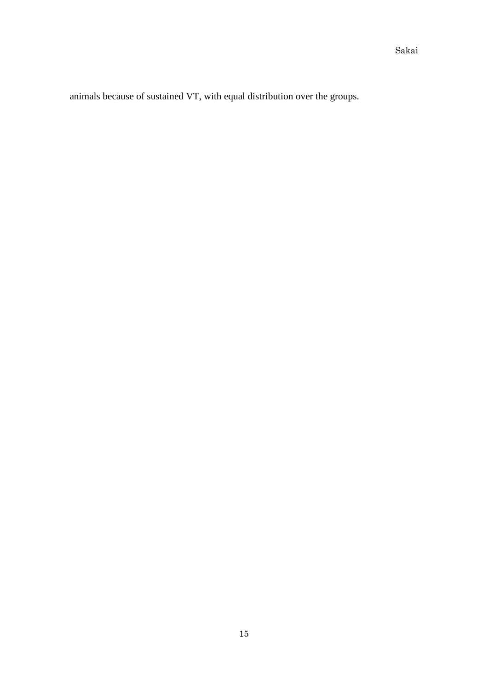animals because of sustained VT, with equal distribution over the groups.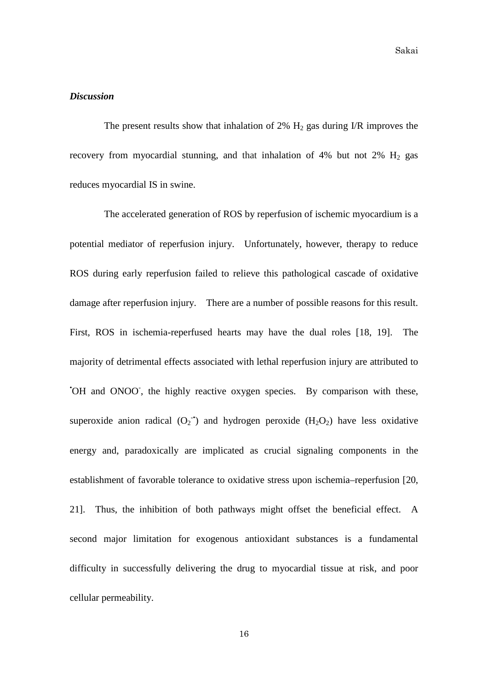## *Discussion*

The present results show that inhalation of 2%  $H_2$  gas during I/R improves the recovery from myocardial stunning, and that inhalation of  $4\%$  but not  $2\%$  H<sub>2</sub> gas reduces myocardial IS in swine.

The accelerated generation of ROS by reperfusion of ischemic myocardium is a potential mediator of reperfusion injury. Unfortunately, however, therapy to reduce ROS during early reperfusion failed to relieve this pathological cascade of oxidative damage after reperfusion injury. There are a number of possible reasons for this result. First, ROS in ischemia-reperfused hearts may have the dual roles [18, 19]. The majority of detrimental effects associated with lethal reperfusion injury are attributed to 'OH and ONOO', the highly reactive oxygen species. By comparison with these, superoxide anion radical  $(O_2^{\bullet})$  and hydrogen peroxide  $(H_2O_2)$  have less oxidative energy and, paradoxically are implicated as crucial signaling components in the establishment of favorable tolerance to oxidative stress upon ischemia–reperfusion [20, 21]. Thus, the inhibition of both pathways might offset the beneficial effect. A second major limitation for exogenous antioxidant substances is a fundamental difficulty in successfully delivering the drug to myocardial tissue at risk, and poor cellular permeability.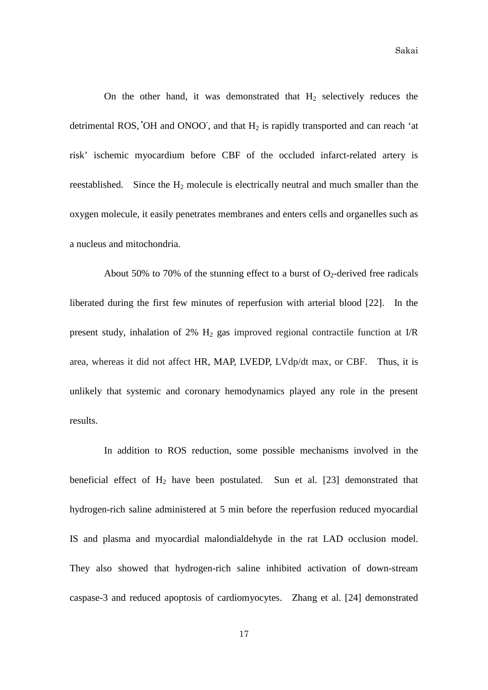On the other hand, it was demonstrated that  $H_2$  selectively reduces the detrimental ROS, OH and ONOO, and that  $H_2$  is rapidly transported and can reach 'at risk' ischemic myocardium before CBF of the occluded infarct-related artery is reestablished. Since the  $H_2$  molecule is electrically neutral and much smaller than the oxygen molecule, it easily penetrates membranes and enters cells and organelles such as a nucleus and mitochondria.

About 50% to 70% of the stunning effect to a burst of  $O_2$ -derived free radicals liberated during the first few minutes of reperfusion with arterial blood [22]. In the present study, inhalation of  $2\%$  H<sub>2</sub> gas improved regional contractile function at I/R area, whereas it did not affect HR, MAP, LVEDP, LVdp/dt max, or CBF. Thus, it is unlikely that systemic and coronary hemodynamics played any role in the present results.

In addition to ROS reduction, some possible mechanisms involved in the beneficial effect of  $H_2$  have been postulated. Sun et al. [23] demonstrated that hydrogen-rich saline administered at 5 min before the reperfusion reduced myocardial IS and plasma and myocardial malondialdehyde in the rat LAD occlusion model. They also showed that hydrogen-rich saline inhibited activation of down-stream caspase-3 and reduced apoptosis of cardiomyocytes. Zhang et al. [24] demonstrated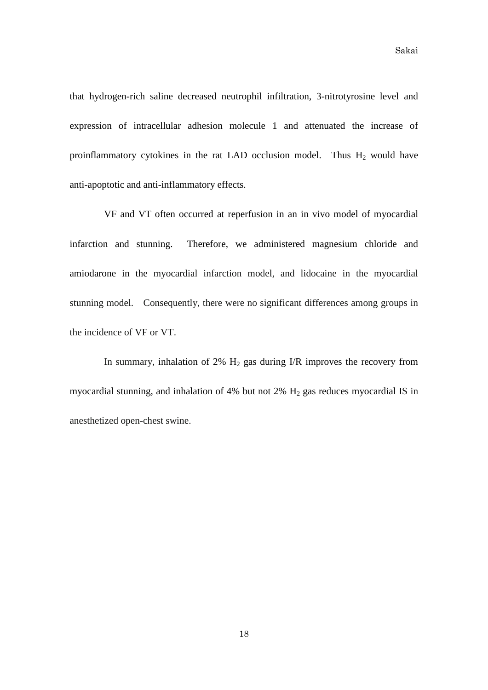Sakai

that hydrogen-rich saline decreased neutrophil infiltration, 3-nitrotyrosine level and expression of intracellular adhesion molecule 1 and attenuated the increase of proinflammatory cytokines in the rat LAD occlusion model. Thus  $H_2$  would have anti-apoptotic and anti-inflammatory effects.

VF and VT often occurred at reperfusion in an in vivo model of myocardial infarction and stunning. Therefore, we administered magnesium chloride and amiodarone in the myocardial infarction model, and lidocaine in the myocardial stunning model. Consequently, there were no significant differences among groups in the incidence of VF or VT.

In summary, inhalation of 2%  $H_2$  gas during I/R improves the recovery from myocardial stunning, and inhalation of 4% but not 2%  $H_2$  gas reduces myocardial IS in anesthetized open-chest swine.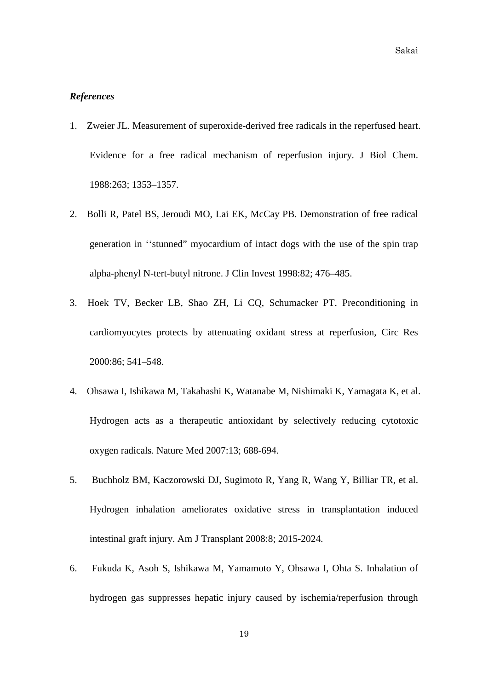# *References*

- 1. Zweier JL. Measurement of superoxide-derived free radicals in the reperfused heart. Evidence for a free radical mechanism of reperfusion injury. J Biol Chem. 1988:263; 1353–1357.
- 2. Bolli R, Patel BS, Jeroudi MO, Lai EK, McCay PB. Demonstration of free radical generation in ''stunned" myocardium of intact dogs with the use of the spin trap alpha-phenyl N-tert-butyl nitrone. J Clin Invest 1998:82; 476–485.
- 3. Hoek TV, Becker LB, Shao ZH, Li CQ, Schumacker PT. Preconditioning in cardiomyocytes protects by attenuating oxidant stress at reperfusion, Circ Res 2000:86; 541–548.
- 4. Ohsawa I, Ishikawa M, Takahashi K, Watanabe M, Nishimaki K, Yamagata K, et al. Hydrogen acts as a therapeutic antioxidant by selectively reducing cytotoxic oxygen radicals. Nature Med 2007:13; 688-694.
- 5. Buchholz BM, Kaczorowski DJ, Sugimoto R, Yang R, Wang Y, Billiar TR, et al. Hydrogen inhalation ameliorates oxidative stress in transplantation induced intestinal graft injury. Am J Transplant 2008:8; 2015-2024.
- 6. Fukuda K, Asoh S, Ishikawa M, Yamamoto Y, Ohsawa I, Ohta S. Inhalation of hydrogen gas suppresses hepatic injury caused by ischemia/reperfusion through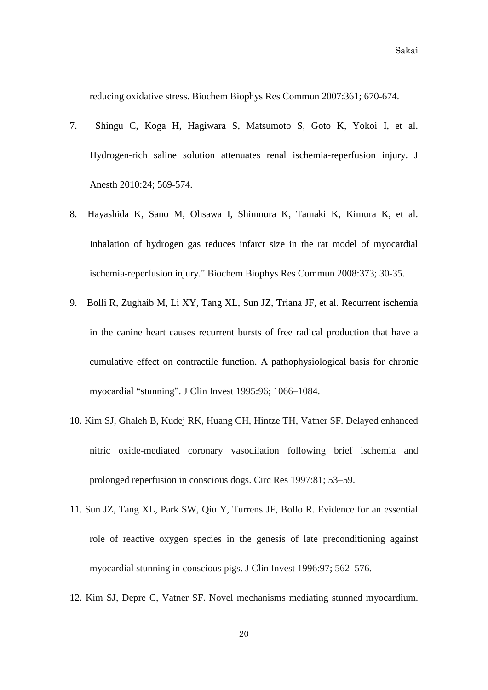reducing oxidative stress. Biochem Biophys Res Commun 2007:361; 670-674.

- 7. Shingu C, Koga H, Hagiwara S, Matsumoto S, Goto K, Yokoi I, et al. Hydrogen-rich saline solution attenuates renal ischemia-reperfusion injury. J Anesth 2010:24; 569-574.
- 8. Hayashida K, Sano M, Ohsawa I, Shinmura K, Tamaki K, Kimura K, et al. Inhalation of hydrogen gas reduces infarct size in the rat model of myocardial ischemia-reperfusion injury." Biochem Biophys Res Commun 2008:373; 30-35.
- 9. Bolli R, Zughaib M, Li XY, Tang XL, Sun JZ, Triana JF, et al. Recurrent ischemia in the canine heart causes recurrent bursts of free radical production that have a cumulative effect on contractile function. A pathophysiological basis for chronic myocardial "stunning". J Clin Invest 1995:96; 1066–1084.
- 10. Kim SJ, Ghaleh B, Kudej RK, Huang CH, Hintze TH, Vatner SF. Delayed enhanced nitric oxide-mediated coronary vasodilation following brief ischemia and prolonged reperfusion in conscious dogs. Circ Res 1997:81; 53–59.
- 11. Sun JZ, Tang XL, Park SW, Qiu Y, Turrens JF, Bollo R. Evidence for an essential role of reactive oxygen species in the genesis of late preconditioning against myocardial stunning in conscious pigs. J Clin Invest 1996:97; 562–576.
- 12. Kim SJ, Depre C, Vatner SF. Novel mechanisms mediating stunned myocardium.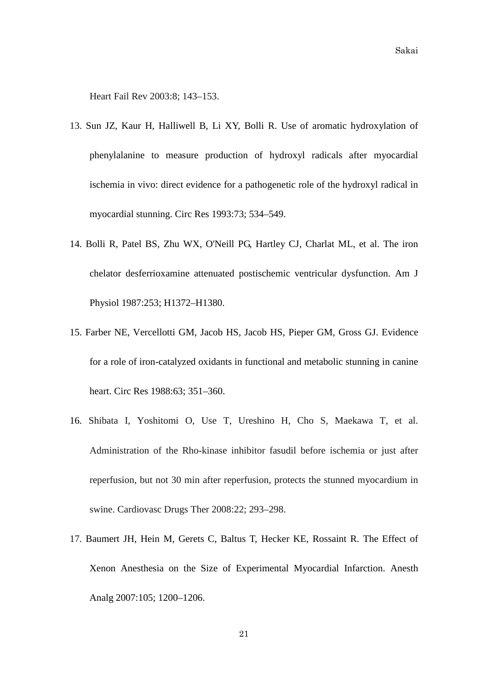Heart Fail Rev 2003:8; 143–153.

- 13. Sun JZ, Kaur H, Halliwell B, [Li XY,](http://www.ncbi.nlm.nih.gov/pubmed?term=%22Li%20XY%22%5BAuthor%5D) [Bolli R.](http://www.ncbi.nlm.nih.gov/pubmed?term=%22Bolli%20R%22%5BAuthor%5D) Use of aromatic hydroxylation of phenylalanine to measure production of hydroxyl radicals after myocardial ischemia in vivo: direct evidence for a pathogenetic role of the hydroxyl radical in myocardial stunning. Circ Res 1993:73; 534–549.
- 14. Bolli R, Patel BS, Zhu WX, [O'Neill PG,](http://www.ncbi.nlm.nih.gov/pubmed?term=%22O) [Hartley CJ,](http://www.ncbi.nlm.nih.gov/pubmed?term=%22Hartley%20CJ%22%5BAuthor%5D) [Charlat ML,](http://www.ncbi.nlm.nih.gov/pubmed?term=%22Charlat%20ML%22%5BAuthor%5D) [et](http://www.ncbi.nlm.nih.gov/pubmed?term=%22Roberts%20R%22%5BAuthor%5D) al. The iron chelator desferrioxamine attenuated postischemic ventricular dysfunction. Am J Physiol 1987:253; H1372–H1380.
- 15. Farber NE, Vercellotti GM, Jacob HS, [Jacob HS,](http://www.ncbi.nlm.nih.gov/pubmed?term=%22Jacob%20HS%22%5BAuthor%5D) [Pieper GM,](http://www.ncbi.nlm.nih.gov/pubmed?term=%22Pieper%20GM%22%5BAuthor%5D) [Gross GJ.](http://www.ncbi.nlm.nih.gov/pubmed?term=%22Gross%20GJ%22%5BAuthor%5D) Evidence for a role of iron-catalyzed oxidants in functional and metabolic stunning in canine heart. Circ Res 1988:63; 351–360.
- 16. Shibata I, Yoshitomi O, Use T, Ureshino H, Cho S, Maekawa T, et al. Administration of the Rho-kinase inhibitor fasudil before ischemia or just after reperfusion, but not 30 min after reperfusion, protects the stunned myocardium in swine. Cardiovasc Drugs Ther 2008:22; 293–298.
- 17. [Baumert JH,](http://www.ncbi.nlm.nih.gov/pubmed?term=%22Baumert%20JH%22%5BAuthor%5D) [Hein M,](http://www.ncbi.nlm.nih.gov/pubmed?term=%22Hein%20M%22%5BAuthor%5D) [Gerets C,](http://www.ncbi.nlm.nih.gov/pubmed?term=%22Gerets%20C%22%5BAuthor%5D) [Baltus T,](http://www.ncbi.nlm.nih.gov/pubmed?term=%22Baltus%20T%22%5BAuthor%5D) [Hecker KE,](http://www.ncbi.nlm.nih.gov/pubmed?term=%22Hecker%20KE%22%5BAuthor%5D) [Rossaint R.](http://www.ncbi.nlm.nih.gov/pubmed?term=%22Rossaint%20R%22%5BAuthor%5D) The Effect of Xenon Anesthesia on the Size of Experimental Myocardial Infarction. Anesth Analg 2007:105; 1200–1206.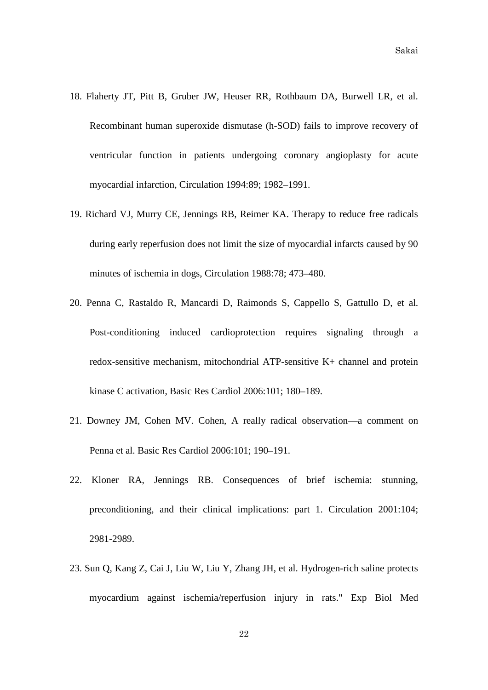- 18. Flaherty JT, Pitt B, Gruber JW, Heuser RR, Rothbaum DA, Burwell LR, et al. Recombinant human superoxide dismutase (h-SOD) fails to improve recovery of ventricular function in patients undergoing coronary angioplasty for acute myocardial infarction, Circulation 1994:89; 1982–1991.
- 19. Richard VJ, Murry CE, Jennings RB, Reimer KA. Therapy to reduce free radicals during early reperfusion does not limit the size of myocardial infarcts caused by 90 minutes of ischemia in dogs, Circulation 1988:78; 473–480.
- 20. Penna C, Rastaldo R, Mancardi D, Raimonds S, Cappello S, Gattullo D, et al. Post-conditioning induced cardioprotection requires signaling through a redox-sensitive mechanism, mitochondrial ATP-sensitive K+ channel and protein kinase C activation, Basic Res Cardiol 2006:101; 180–189.
- 21. Downey JM, Cohen MV. Cohen, A really radical observation—a comment on Penna et al. Basic Res Cardiol 2006:101; 190–191.
- 22. Kloner RA, Jennings RB. Consequences of brief ischemia: stunning, preconditioning, and their clinical implications: part 1. Circulation 2001:104; 2981-2989.
- 23. Sun Q, Kang Z, Cai J, Liu W, Liu Y, Zhang JH, et al. Hydrogen-rich saline protects myocardium against ischemia/reperfusion injury in rats." Exp Biol Med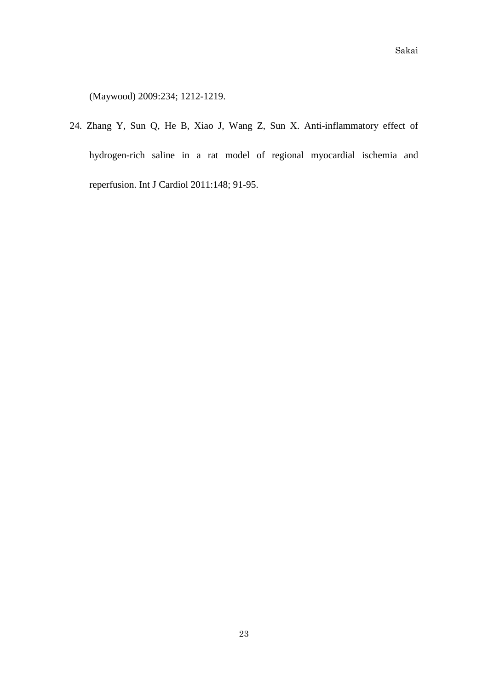(Maywood) 2009:234; 1212-1219.

24. Zhang Y, Sun Q, He B, Xiao J, Wang Z, Sun X. Anti-inflammatory effect of hydrogen-rich saline in a rat model of regional myocardial ischemia and reperfusion. Int J Cardiol 2011:148; 91-95.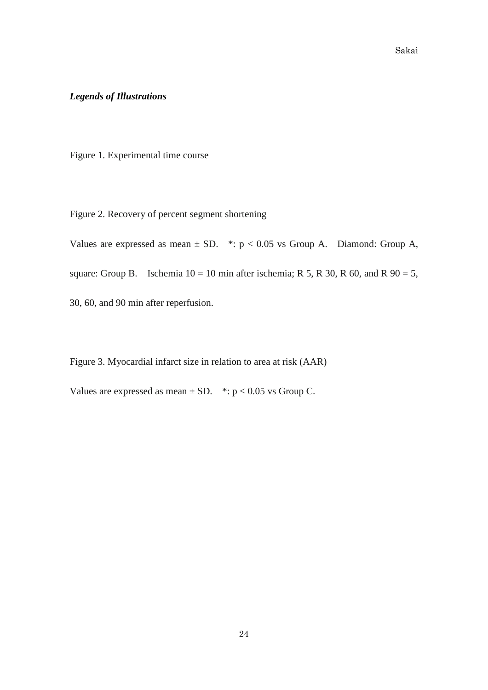# *Legends of Illustrations*

Figure 1. Experimental time course

Figure 2. Recovery of percent segment shortening

Values are expressed as mean  $\pm$  SD. \*: p < 0.05 vs Group A. Diamond: Group A, square: Group B. Ischemia  $10 = 10$  min after ischemia; R 5, R 30, R 60, and R 90 = 5, 30, 60, and 90 min after reperfusion.

Figure 3. Myocardial infarct size in relation to area at risk (AAR)

Values are expressed as mean  $\pm$  SD. \*: p < 0.05 vs Group C.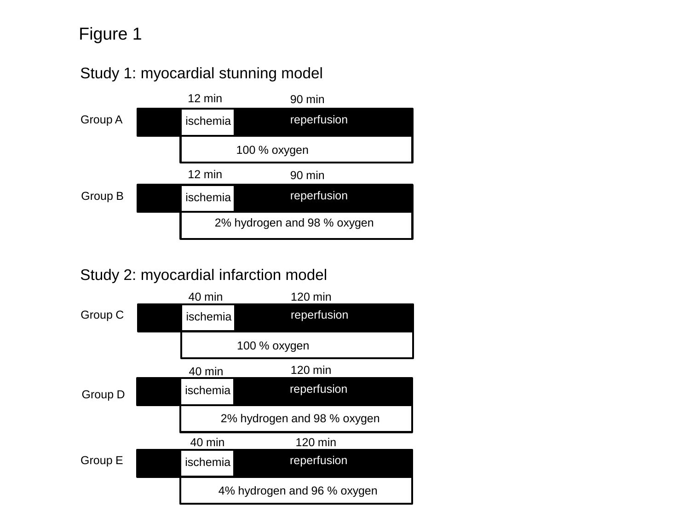# Figure 1



# Study 2: myocardial infarction model

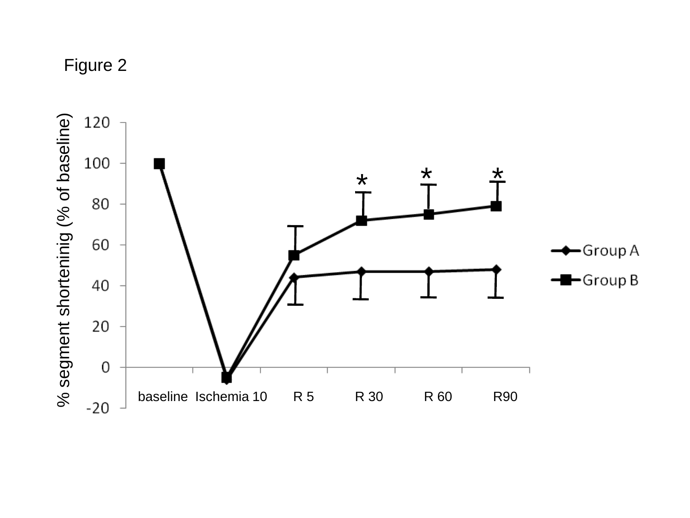Figure 2

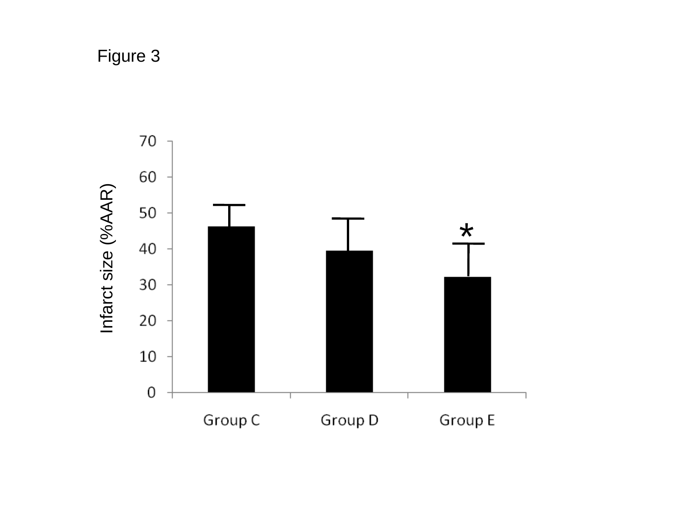Figure 3

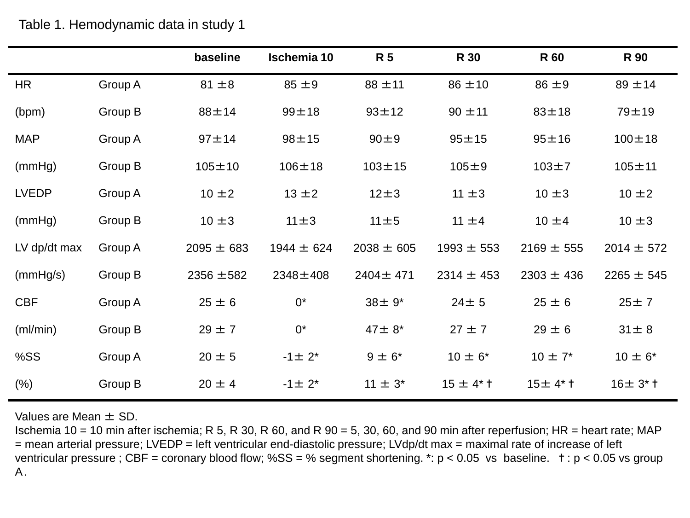|              |         | baseline       | <b>Ischemia 10</b> | <b>R5</b>      | <b>R</b> 30    | <b>R60</b>     | <b>R</b> 90    |
|--------------|---------|----------------|--------------------|----------------|----------------|----------------|----------------|
| <b>HR</b>    | Group A | $81 \pm 8$     | $85 \pm 9$         | $88 \pm 11$    | $86 \pm 10$    | $86 \pm 9$     | $89 + 14$      |
| (bpm)        | Group B | $88 + 14$      | $99 + 18$          | $93 + 12$      | $90 \pm 11$    | $83 + 18$      | $79 + 19$      |
| <b>MAP</b>   | Group A | $97 + 14$      | $98 + 15$          | 90±9           | $95 + 15$      | $95 + 16$      | $100 \pm 18$   |
| (mmHg)       | Group B | $105 + 10$     | $106 + 18$         | $103 + 15$     | $105 + 9$      | $103 + 7$      | $105 + 11$     |
| <b>LVEDP</b> | Group A | $10 \pm 2$     | $13 \pm 2$         | $12\pm3$       | $11 \pm 3$     | $10 \pm 3$     | $10 \pm 2$     |
| (mmHg)       | Group B | $10 \pm 3$     | $11 \pm 3$         | $11 \pm 5$     | $11 \pm 4$     | $10 \pm 4$     | $10 \pm 3$     |
| LV dp/dt max | Group A | $2095 \pm 683$ | $1944 \pm 624$     | $2038 \pm 605$ | $1993 \pm 553$ | $2169 \pm 555$ | $2014 \pm 572$ |
| (mmHg/s)     | Group B | $2356 \pm 582$ | $2348 \pm 408$     | 2404±471       | $2314 \pm 453$ | $2303 \pm 436$ | $2265 \pm 545$ |
| <b>CBF</b>   | Group A | $25 \pm 6$     | $0^*$              | $38 \pm 9^*$   | $24 \pm 5$     | $25 \pm 6$     | 25±7           |
| (ml/min)     | Group B | $29 \pm 7$     | $0^*$              | $47 \pm 8^*$   | $27 \pm 7$     | $29 \pm 6$     | $31 \pm 8$     |
| %SS          | Group A | $20 \pm 5$     | $-1 \pm 2^{*}$     | $9 \pm 6^*$    | $10 \pm 6^*$   | $10 \pm 7^*$   | $10 \pm 6^*$   |
| (% )         | Group B | $20 \pm 4$     | $-1 \pm 2^*$       | $11 \pm 3^*$   | $15 \pm 4$ * † | $15±4*$ †      | $16±3*†$       |

Table 1. Hemodynamic data in study 1

Values are Mean  $\pm$  SD.

Ischemia 10 = 10 min after ischemia; R 5, R 30, R 60, and R 90 = 5, 30, 60, and 90 min after reperfusion; HR = heart rate; MAP = mean arterial pressure; LVEDP = left ventricular end-diastolic pressure; LVdp/dt max = maximal rate of increase of left ventricular pressure ; CBF = coronary blood flow; %SS = % segment shortening. \*:  $p < 0.05$  vs baseline.  $t : p < 0.05$  vs group A.